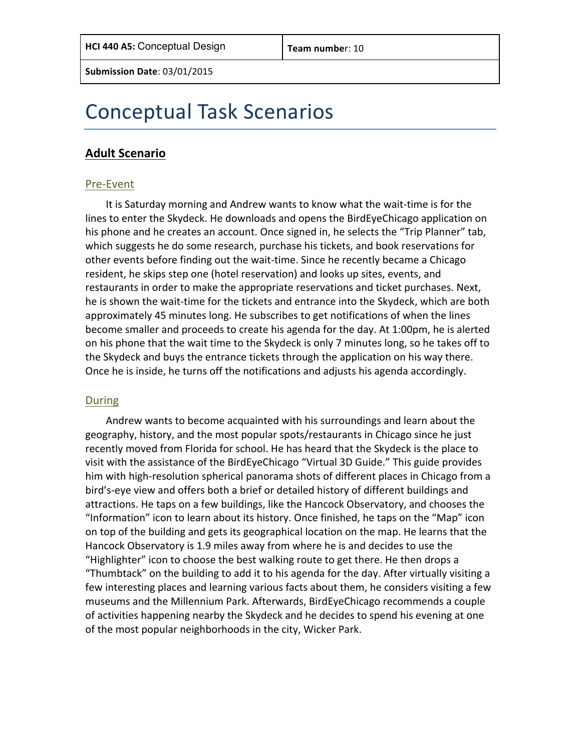# Conceptual Task Scenarios

### **Adult Scenario**

#### Pre-Event

It is Saturday morning and Andrew wants to know what the wait-time is for the lines to enter the Skydeck. He downloads and opens the BirdEyeChicago application on his phone and he creates an account. Once signed in, he selects the "Trip Planner" tab, which suggests he do some research, purchase his tickets, and book reservations for other events before finding out the wait-time. Since he recently became a Chicago resident, he skips step one (hotel reservation) and looks up sites, events, and restaurants in order to make the appropriate reservations and ticket purchases. Next, he is shown the wait-time for the tickets and entrance into the Skydeck, which are both approximately 45 minutes long. He subscribes to get notifications of when the lines become smaller and proceeds to create his agenda for the day. At 1:00pm, he is alerted on his phone that the wait time to the Skydeck is only 7 minutes long, so he takes off to the Skydeck and buys the entrance tickets through the application on his way there. Once he is inside, he turns off the notifications and adjusts his agenda accordingly.

#### During

Andrew wants to become acquainted with his surroundings and learn about the geography, history, and the most popular spots/restaurants in Chicago since he just recently moved from Florida for school. He has heard that the Skydeck is the place to visit with the assistance of the BirdEyeChicago "Virtual 3D Guide." This guide provides him with high-resolution spherical panorama shots of different places in Chicago from a bird's-eye view and offers both a brief or detailed history of different buildings and attractions. He taps on a few buildings, like the Hancock Observatory, and chooses the "Information" icon to learn about its history. Once finished, he taps on the "Map" icon on top of the building and gets its geographical location on the map. He learns that the Hancock Observatory is 1.9 miles away from where he is and decides to use the "Highlighter" icon to choose the best walking route to get there. He then drops a "Thumbtack" on the building to add it to his agenda for the day. After virtually visiting a few interesting places and learning various facts about them, he considers visiting a few museums and the Millennium Park. Afterwards, BirdEyeChicago recommends a couple of activities happening nearby the Skydeck and he decides to spend his evening at one of the most popular neighborhoods in the city, Wicker Park.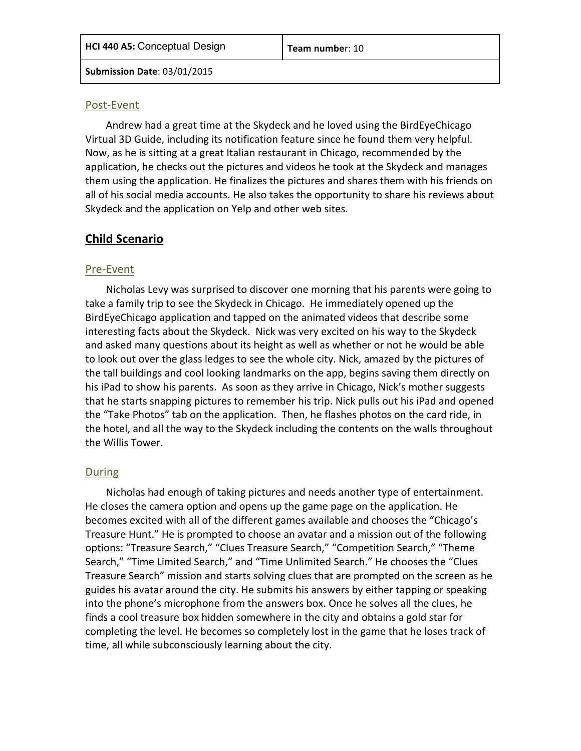### Post-Event

Andrew had a great time at the Skydeck and he loved using the BirdEyeChicago Virtual 3D Guide, including its notification feature since he found them very helpful. Now, as he is sitting at a great Italian restaurant in Chicago, recommended by the application, he checks out the pictures and videos he took at the Skydeck and manages them using the application. He finalizes the pictures and shares them with his friends on all of his social media accounts. He also takes the opportunity to share his reviews about Skydeck and the application on Yelp and other web sites.

## **Child Scenario**

### Pre-Event

Nicholas Levy was surprised to discover one morning that his parents were going to take a family trip to see the Skydeck in Chicago. He immediately opened up the BirdEyeChicago application and tapped on the animated videos that describe some interesting facts about the Skydeck. Nick was very excited on his way to the Skydeck and asked many questions about its height as well as whether or not he would be able to look out over the glass ledges to see the whole city. Nick, amazed by the pictures of the tall buildings and cool looking landmarks on the app, begins saving them directly on his iPad to show his parents. As soon as they arrive in Chicago, Nick's mother suggests that he starts snapping pictures to remember his trip. Nick pulls out his iPad and opened the "Take Photos" tab on the application. Then, he flashes photos on the card ride, in the hotel, and all the way to the Skydeck including the contents on the walls throughout the Willis Tower.

### During

Nicholas had enough of taking pictures and needs another type of entertainment. He closes the camera option and opens up the game page on the application. He becomes excited with all of the different games available and chooses the "Chicago's Treasure Hunt." He is prompted to choose an avatar and a mission out of the following options: "Treasure Search," "Clues Treasure Search," "Competition Search," "Theme Search," "Time Limited Search," and "Time Unlimited Search." He chooses the "Clues Treasure Search" mission and starts solving clues that are prompted on the screen as he guides his avatar around the city. He submits his answers by either tapping or speaking into the phone's microphone from the answers box. Once he solves all the clues, he finds a cool treasure box hidden somewhere in the city and obtains a gold star for completing the level. He becomes so completely lost in the game that he loses track of time, all while subconsciously learning about the city.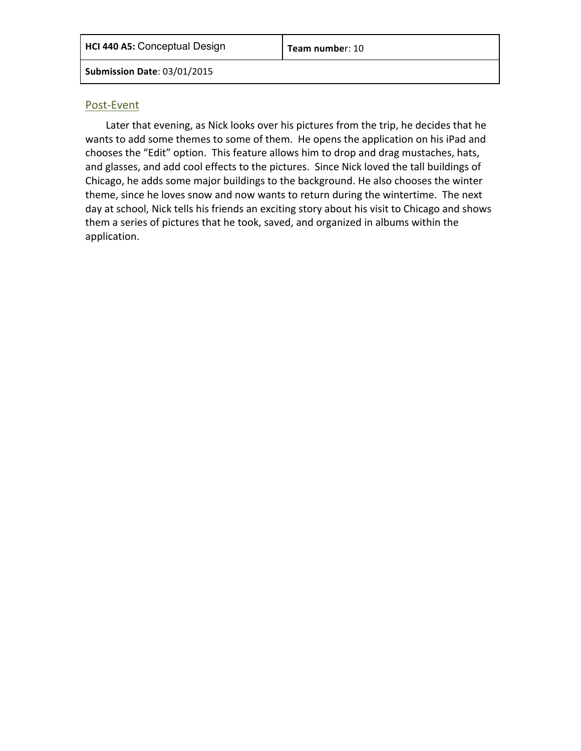#### Post-Event

Later that evening, as Nick looks over his pictures from the trip, he decides that he wants to add some themes to some of them. He opens the application on his iPad and chooses the "Edit" option. This feature allows him to drop and drag mustaches, hats, and glasses, and add cool effects to the pictures. Since Nick loved the tall buildings of Chicago, he adds some major buildings to the background. He also chooses the winter theme, since he loves snow and now wants to return during the wintertime. The next day at school, Nick tells his friends an exciting story about his visit to Chicago and shows them a series of pictures that he took, saved, and organized in albums within the application.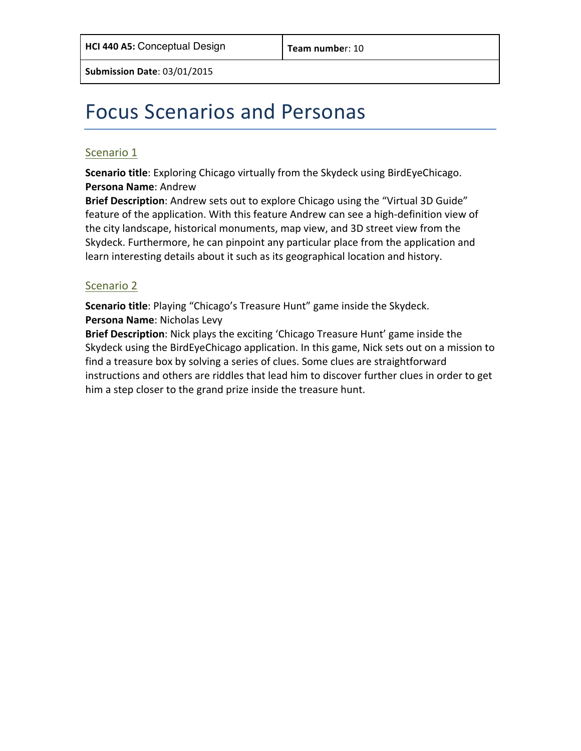# Focus Scenarios and Personas

### Scenario 1

**Scenario title**: Exploring Chicago virtually from the Skydeck using BirdEyeChicago. **Persona Name: Andrew** 

**Brief Description**: Andrew sets out to explore Chicago using the "Virtual 3D Guide" feature of the application. With this feature Andrew can see a high-definition view of the city landscape, historical monuments, map view, and 3D street view from the Skydeck. Furthermore, he can pinpoint any particular place from the application and learn interesting details about it such as its geographical location and history.

### Scenario 2

**Scenario title**: Playing "Chicago's Treasure Hunt" game inside the Skydeck. **Persona Name: Nicholas Levy** 

**Brief Description**: Nick plays the exciting 'Chicago Treasure Hunt' game inside the Skydeck using the BirdEyeChicago application. In this game, Nick sets out on a mission to find a treasure box by solving a series of clues. Some clues are straightforward instructions and others are riddles that lead him to discover further clues in order to get him a step closer to the grand prize inside the treasure hunt.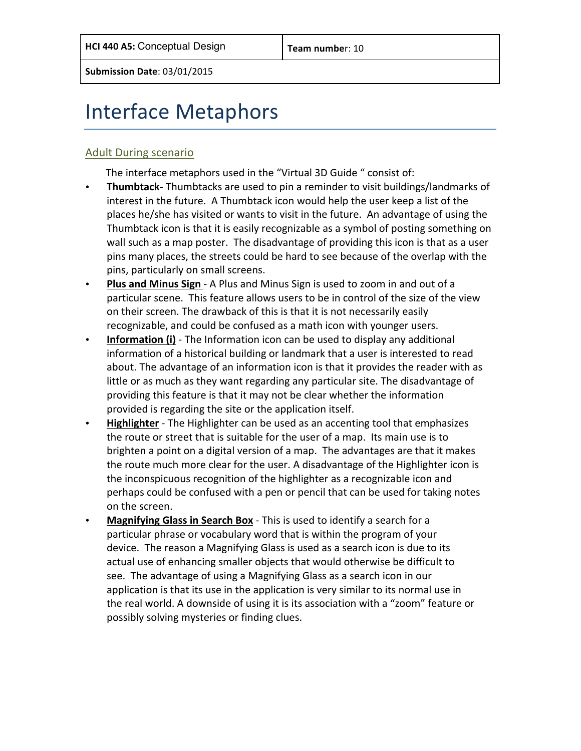# Interface Metaphors

### **Adult During scenario**

The interface metaphors used in the "Virtual 3D Guide " consist of:

- Thumbtack- Thumbtacks are used to pin a reminder to visit buildings/landmarks of interest in the future. A Thumbtack icon would help the user keep a list of the places he/she has visited or wants to visit in the future. An advantage of using the Thumbtack icon is that it is easily recognizable as a symbol of posting something on wall such as a map poster. The disadvantage of providing this icon is that as a user pins many places, the streets could be hard to see because of the overlap with the pins, particularly on small screens.
- Plus and Minus Sign A Plus and Minus Sign is used to zoom in and out of a particular scene. This feature allows users to be in control of the size of the view on their screen. The drawback of this is that it is not necessarily easily recognizable, and could be confused as a math icon with younger users.
- **Information (i)** The Information icon can be used to display any additional information of a historical building or landmark that a user is interested to read about. The advantage of an information icon is that it provides the reader with as little or as much as they want regarding any particular site. The disadvantage of providing this feature is that it may not be clear whether the information provided is regarding the site or the application itself.
- **Highlighter** The Highlighter can be used as an accenting tool that emphasizes the route or street that is suitable for the user of a map. Its main use is to brighten a point on a digital version of a map. The advantages are that it makes the route much more clear for the user. A disadvantage of the Highlighter icon is the inconspicuous recognition of the highlighter as a recognizable icon and perhaps could be confused with a pen or pencil that can be used for taking notes on the screen.
- **Magnifying Glass in Search Box** This is used to identify a search for a particular phrase or vocabulary word that is within the program of your device. The reason a Magnifying Glass is used as a search icon is due to its actual use of enhancing smaller objects that would otherwise be difficult to see. The advantage of using a Magnifying Glass as a search icon in our application is that its use in the application is very similar to its normal use in the real world. A downside of using it is its association with a "zoom" feature or possibly solving mysteries or finding clues.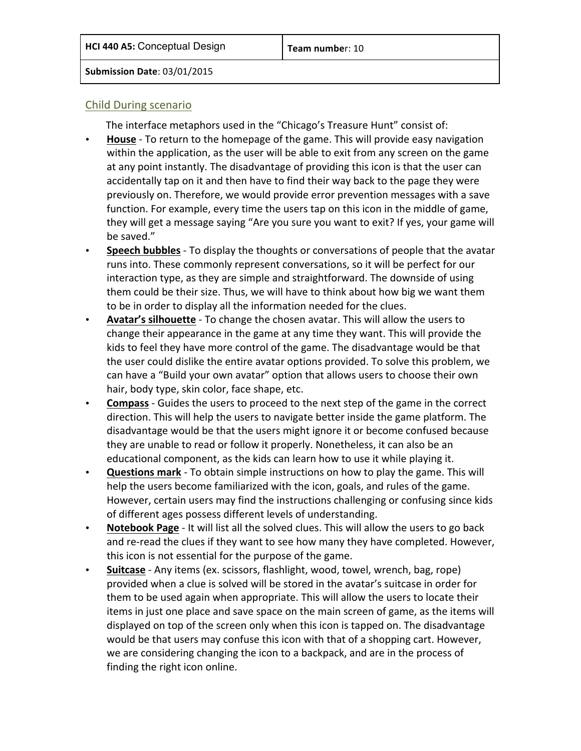### Child During scenario

The interface metaphors used in the "Chicago's Treasure Hunt" consist of:

- **House** To return to the homepage of the game. This will provide easy navigation within the application, as the user will be able to exit from any screen on the game at any point instantly. The disadvantage of providing this icon is that the user can accidentally tap on it and then have to find their way back to the page they were previously on. Therefore, we would provide error prevention messages with a save function. For example, every time the users tap on this icon in the middle of game, they will get a message saying "Are you sure you want to exit? If yes, your game will be saved."
- **Speech bubbles** To display the thoughts or conversations of people that the avatar runs into. These commonly represent conversations, so it will be perfect for our interaction type, as they are simple and straightforward. The downside of using them could be their size. Thus, we will have to think about how big we want them to be in order to display all the information needed for the clues.
- **Avatar's silhouette** To change the chosen avatar. This will allow the users to change their appearance in the game at any time they want. This will provide the kids to feel they have more control of the game. The disadvantage would be that the user could dislike the entire avatar options provided. To solve this problem, we can have a "Build your own avatar" option that allows users to choose their own hair, body type, skin color, face shape, etc.
- **Compass** Guides the users to proceed to the next step of the game in the correct direction. This will help the users to navigate better inside the game platform. The disadvantage would be that the users might ignore it or become confused because they are unable to read or follow it properly. Nonetheless, it can also be an educational component, as the kids can learn how to use it while playing it.
- **Questions mark** To obtain simple instructions on how to play the game. This will help the users become familiarized with the icon, goals, and rules of the game. However, certain users may find the instructions challenging or confusing since kids of different ages possess different levels of understanding.
- **Notebook Page** It will list all the solved clues. This will allow the users to go back and re-read the clues if they want to see how many they have completed. However, this icon is not essential for the purpose of the game.
- **Suitcase** Any items (ex. scissors, flashlight, wood, towel, wrench, bag, rope) provided when a clue is solved will be stored in the avatar's suitcase in order for them to be used again when appropriate. This will allow the users to locate their items in just one place and save space on the main screen of game, as the items will displayed on top of the screen only when this icon is tapped on. The disadvantage would be that users may confuse this icon with that of a shopping cart. However, we are considering changing the icon to a backpack, and are in the process of finding the right icon online.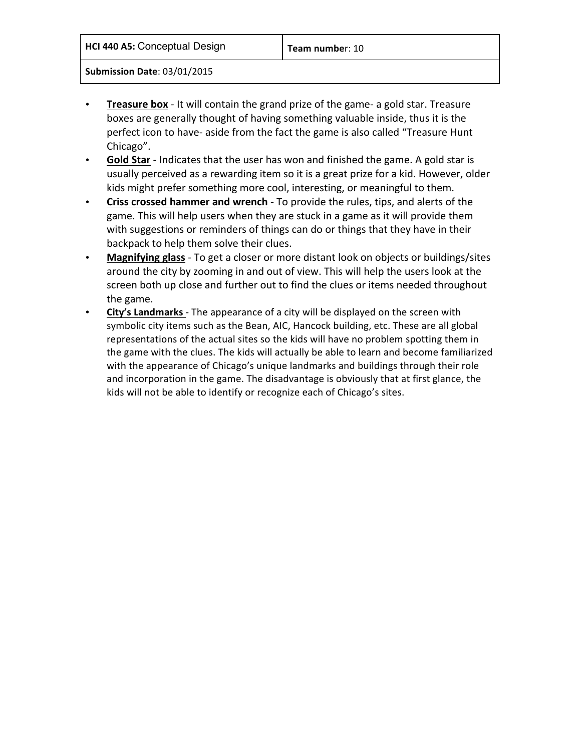**HCI 440 A5:** Conceptual Design **Team number:** 10

**Submission Date**: 03/01/2015

- **Treasure box** It will contain the grand prize of the game- a gold star. Treasure boxes are generally thought of having something valuable inside, thus it is the perfect icon to have- aside from the fact the game is also called "Treasure Hunt Chicago".
- Gold Star Indicates that the user has won and finished the game. A gold star is usually perceived as a rewarding item so it is a great prize for a kid. However, older kids might prefer something more cool, interesting, or meaningful to them.
- **Criss crossed hammer and wrench** To provide the rules, tips, and alerts of the game. This will help users when they are stuck in a game as it will provide them with suggestions or reminders of things can do or things that they have in their backpack to help them solve their clues.
- Magnifying glass To get a closer or more distant look on objects or buildings/sites around the city by zooming in and out of view. This will help the users look at the screen both up close and further out to find the clues or items needed throughout the game.
- City's Landmarks The appearance of a city will be displayed on the screen with symbolic city items such as the Bean, AIC, Hancock building, etc. These are all global representations of the actual sites so the kids will have no problem spotting them in the game with the clues. The kids will actually be able to learn and become familiarized with the appearance of Chicago's unique landmarks and buildings through their role and incorporation in the game. The disadvantage is obviously that at first glance, the kids will not be able to identify or recognize each of Chicago's sites.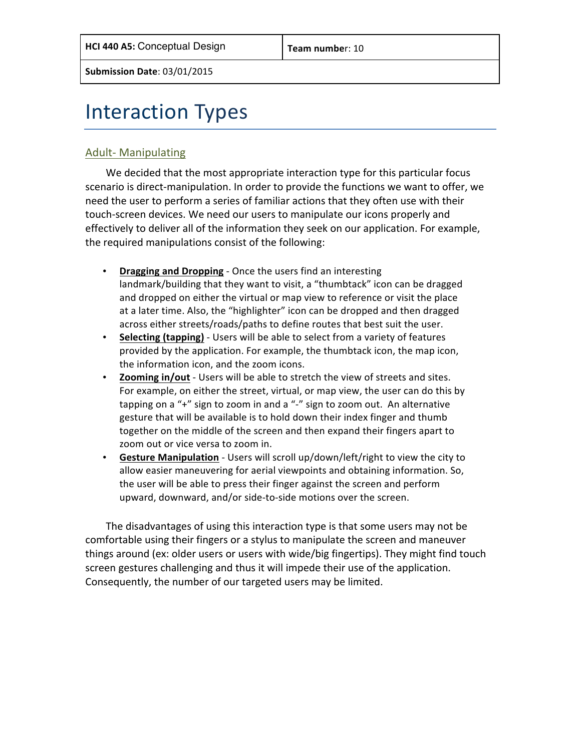# **Interaction Types**

### Adult- Manipulating

We decided that the most appropriate interaction type for this particular focus scenario is direct-manipulation. In order to provide the functions we want to offer, we need the user to perform a series of familiar actions that they often use with their touch-screen devices. We need our users to manipulate our icons properly and effectively to deliver all of the information they seek on our application. For example, the required manipulations consist of the following:

- Dragging and Dropping Once the users find an interesting landmark/building that they want to visit, a "thumbtack" icon can be dragged and dropped on either the virtual or map view to reference or visit the place at a later time. Also, the "highlighter" icon can be dropped and then dragged across either streets/roads/paths to define routes that best suit the user.
- Selecting (tapping) Users will be able to select from a variety of features provided by the application. For example, the thumbtack icon, the map icon, the information icon, and the zoom icons.
- **Zooming in/out** Users will be able to stretch the view of streets and sites. For example, on either the street, virtual, or map view, the user can do this by tapping on a  $4$ " sign to zoom in and a  $4$ -" sign to zoom out. An alternative gesture that will be available is to hold down their index finger and thumb together on the middle of the screen and then expand their fingers apart to zoom out or vice versa to zoom in.
- Gesture Manipulation Users will scroll up/down/left/right to view the city to allow easier maneuvering for aerial viewpoints and obtaining information. So, the user will be able to press their finger against the screen and perform upward, downward, and/or side-to-side motions over the screen.

The disadvantages of using this interaction type is that some users may not be comfortable using their fingers or a stylus to manipulate the screen and maneuver things around (ex: older users or users with wide/big fingertips). They might find touch screen gestures challenging and thus it will impede their use of the application. Consequently, the number of our targeted users may be limited.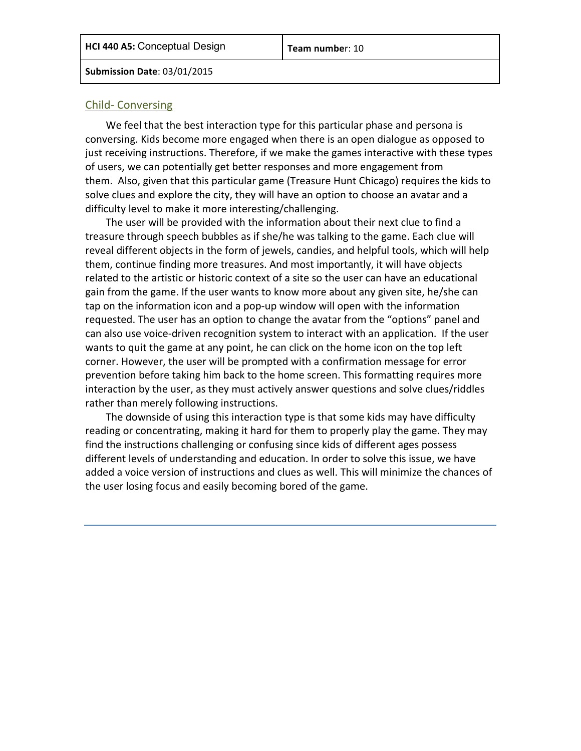#### Child- Conversing

We feel that the best interaction type for this particular phase and persona is conversing. Kids become more engaged when there is an open dialogue as opposed to just receiving instructions. Therefore, if we make the games interactive with these types of users, we can potentially get better responses and more engagement from them. Also, given that this particular game (Treasure Hunt Chicago) requires the kids to solve clues and explore the city, they will have an option to choose an avatar and a difficulty level to make it more interesting/challenging.

The user will be provided with the information about their next clue to find a treasure through speech bubbles as if she/he was talking to the game. Each clue will reveal different objects in the form of jewels, candies, and helpful tools, which will help them, continue finding more treasures. And most importantly, it will have objects related to the artistic or historic context of a site so the user can have an educational gain from the game. If the user wants to know more about any given site, he/she can tap on the information icon and a pop-up window will open with the information requested. The user has an option to change the avatar from the "options" panel and can also use voice-driven recognition system to interact with an application. If the user wants to quit the game at any point, he can click on the home icon on the top left corner. However, the user will be prompted with a confirmation message for error prevention before taking him back to the home screen. This formatting requires more interaction by the user, as they must actively answer questions and solve clues/riddles rather than merely following instructions.

The downside of using this interaction type is that some kids may have difficulty reading or concentrating, making it hard for them to properly play the game. They may find the instructions challenging or confusing since kids of different ages possess different levels of understanding and education. In order to solve this issue, we have added a voice version of instructions and clues as well. This will minimize the chances of the user losing focus and easily becoming bored of the game.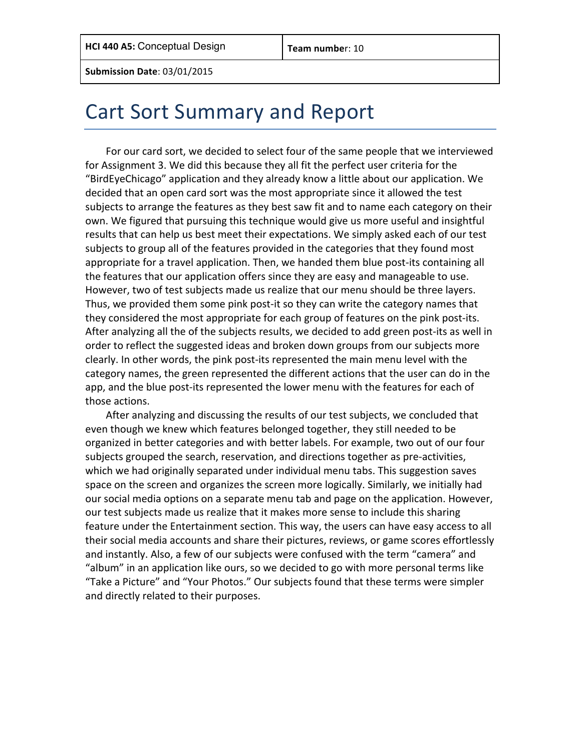## Cart Sort Summary and Report

For our card sort, we decided to select four of the same people that we interviewed for Assignment 3. We did this because they all fit the perfect user criteria for the "BirdEyeChicago" application and they already know a little about our application. We decided that an open card sort was the most appropriate since it allowed the test subjects to arrange the features as they best saw fit and to name each category on their own. We figured that pursuing this technique would give us more useful and insightful results that can help us best meet their expectations. We simply asked each of our test subjects to group all of the features provided in the categories that they found most appropriate for a travel application. Then, we handed them blue post-its containing all the features that our application offers since they are easy and manageable to use. However, two of test subjects made us realize that our menu should be three layers. Thus, we provided them some pink post-it so they can write the category names that they considered the most appropriate for each group of features on the pink post-its. After analyzing all the of the subjects results, we decided to add green post-its as well in order to reflect the suggested ideas and broken down groups from our subjects more clearly. In other words, the pink post-its represented the main menu level with the category names, the green represented the different actions that the user can do in the app, and the blue post-its represented the lower menu with the features for each of those actions.

After analyzing and discussing the results of our test subjects, we concluded that even though we knew which features belonged together, they still needed to be organized in better categories and with better labels. For example, two out of our four subjects grouped the search, reservation, and directions together as pre-activities, which we had originally separated under individual menu tabs. This suggestion saves space on the screen and organizes the screen more logically. Similarly, we initially had our social media options on a separate menu tab and page on the application. However, our test subjects made us realize that it makes more sense to include this sharing feature under the Entertainment section. This way, the users can have easy access to all their social media accounts and share their pictures, reviews, or game scores effortlessly and instantly. Also, a few of our subjects were confused with the term "camera" and "album" in an application like ours, so we decided to go with more personal terms like "Take a Picture" and "Your Photos." Our subjects found that these terms were simpler and directly related to their purposes.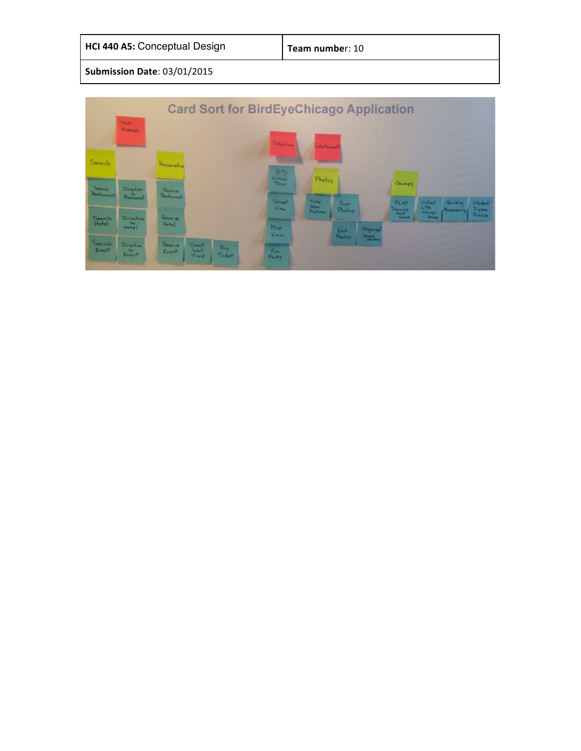| <b>Card Sort for BirdEyeChicago Application</b> |                                 |                       |                       |               |                            |                                |                          |                              |                 |                            |                           |                   |
|-------------------------------------------------|---------------------------------|-----------------------|-----------------------|---------------|----------------------------|--------------------------------|--------------------------|------------------------------|-----------------|----------------------------|---------------------------|-------------------|
| TRIP<br><b>PLANNER</b>                          |                                 |                       |                       | SkyView       | Entertainment              |                                |                          |                              |                 |                            |                           |                   |
| Search                                          |                                 | Reservation           |                       |               | $B - B$<br>Virtual<br>Tour | Photos                         |                          |                              | Games           |                            |                           |                   |
| Search<br>Restourant                            | Direction<br>$R$ estaurant      | Reserve<br>Restaurant |                       |               | Street<br><b>View</b>      | Take<br>New<br><b>Pictures</b> | Your<br>Photos           |                              | PLAY<br>ressure | Virtual<br>Life<br>Chicago | Building<br>Maneuvering / | Skydeck<br>Jigsen |
| Search<br>Hotel                                 | Direction<br>H <sub>other</sub> | Reserve.<br>Hotel     |                       |               | Map<br>View                |                                | $\sim$<br>Ea/F<br>Photos | Organiza/<br>Share<br>Phetos | Gramme          | <b>Grame</b>               |                           | Puzzle            |
| Search<br>Event                                 | Direction<br>$+$<br>Event       | Reserve<br>Event      | Check<br>Wait<br>Time | Buy<br>Ticket | Fun.<br>Facks              |                                |                          |                              |                 |                            |                           |                   |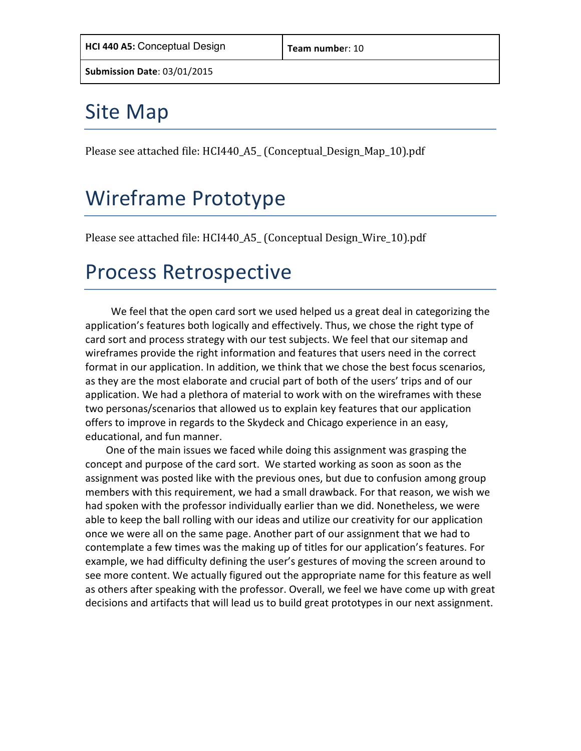# **Site Map**

Please see attached file: HCI440\_A5\_ (Conceptual\_Design\_Map\_10).pdf

# Wireframe Prototype

Please see attached file: HCI440\_A5\_ (Conceptual Design\_Wire\_10).pdf

## Process Retrospective

We feel that the open card sort we used helped us a great deal in categorizing the application's features both logically and effectively. Thus, we chose the right type of card sort and process strategy with our test subjects. We feel that our sitemap and wireframes provide the right information and features that users need in the correct format in our application. In addition, we think that we chose the best focus scenarios, as they are the most elaborate and crucial part of both of the users' trips and of our application. We had a plethora of material to work with on the wireframes with these two personas/scenarios that allowed us to explain key features that our application offers to improve in regards to the Skydeck and Chicago experience in an easy, educational, and fun manner.

One of the main issues we faced while doing this assignment was grasping the concept and purpose of the card sort. We started working as soon as soon as the assignment was posted like with the previous ones, but due to confusion among group members with this requirement, we had a small drawback. For that reason, we wish we had spoken with the professor individually earlier than we did. Nonetheless, we were able to keep the ball rolling with our ideas and utilize our creativity for our application once we were all on the same page. Another part of our assignment that we had to contemplate a few times was the making up of titles for our application's features. For example, we had difficulty defining the user's gestures of moving the screen around to see more content. We actually figured out the appropriate name for this feature as well as others after speaking with the professor. Overall, we feel we have come up with great decisions and artifacts that will lead us to build great prototypes in our next assignment.